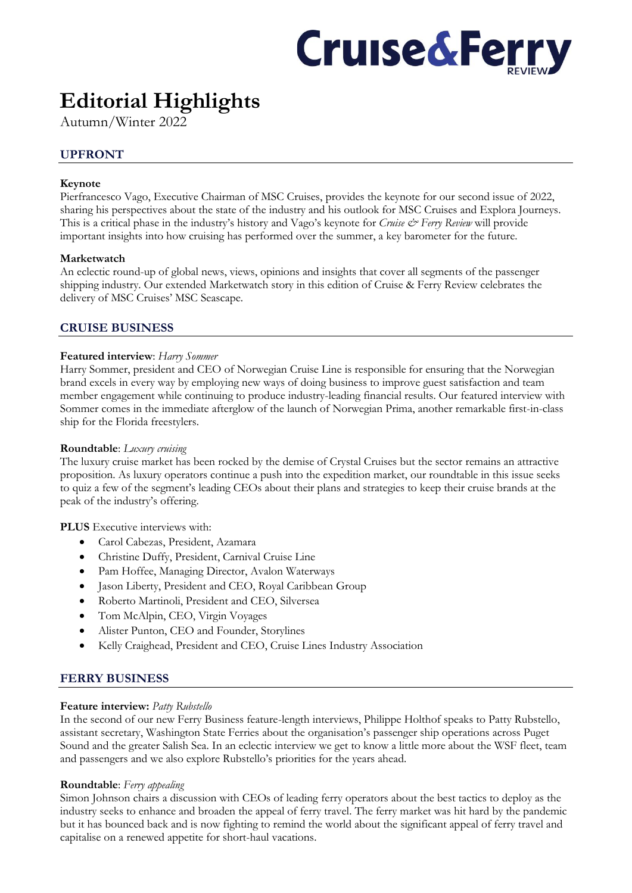

# **Editorial Highlights**

Autumn/Winter 2022

# **UPFRONT**

## **Keynote**

Pierfrancesco Vago, Executive Chairman of MSC Cruises, provides the keynote for our second issue of 2022, sharing his perspectives about the state of the industry and his outlook for MSC Cruises and Explora Journeys. This is a critical phase in the industry's history and Vago's keynote for *Cruise & Ferry Review* will provide important insights into how cruising has performed over the summer, a key barometer for the future.

## **Marketwatch**

An eclectic round-up of global news, views, opinions and insights that cover all segments of the passenger shipping industry. Our extended Marketwatch story in this edition of Cruise & Ferry Review celebrates the delivery of MSC Cruises' MSC Seascape.

# **CRUISE BUSINESS**

## **Featured interview**: *Harry Sommer*

Harry Sommer, president and CEO of Norwegian Cruise Line is responsible for ensuring that the Norwegian brand excels in every way by employing new ways of doing business to improve guest satisfaction and team member engagement while continuing to produce industry-leading financial results. Our featured interview with Sommer comes in the immediate afterglow of the launch of Norwegian Prima, another remarkable first-in-class ship for the Florida freestylers.

## **Roundtable**: *Luxury cruising*

The luxury cruise market has been rocked by the demise of Crystal Cruises but the sector remains an attractive proposition. As luxury operators continue a push into the expedition market, our roundtable in this issue seeks to quiz a few of the segment's leading CEOs about their plans and strategies to keep their cruise brands at the peak of the industry's offering.

## **PLUS** Executive interviews with:

- Carol Cabezas, President, Azamara
- Christine Duffy, President, Carnival Cruise Line
- Pam Hoffee, Managing Director, Avalon Waterways
- Jason Liberty, President and CEO, Royal Caribbean Group
- Roberto Martinoli, President and CEO, Silversea
- Tom McAlpin, CEO, Virgin Voyages
- Alister Punton, CEO and Founder, Storylines
- Kelly Craighead, President and CEO, Cruise Lines Industry Association

# **FERRY BUSINESS**

## **Feature interview:** *Patty Rubstello*

In the second of our new Ferry Business feature-length interviews, Philippe Holthof speaks to Patty Rubstello, assistant secretary, Washington State Ferries about the organisation's passenger ship operations across Puget Sound and the greater Salish Sea. In an eclectic interview we get to know a little more about the WSF fleet, team and passengers and we also explore Rubstello's priorities for the years ahead.

## **Roundtable**: *Ferry appealing*

Simon Johnson chairs a discussion with CEOs of leading ferry operators about the best tactics to deploy as the industry seeks to enhance and broaden the appeal of ferry travel. The ferry market was hit hard by the pandemic but it has bounced back and is now fighting to remind the world about the significant appeal of ferry travel and capitalise on a renewed appetite for short-haul vacations.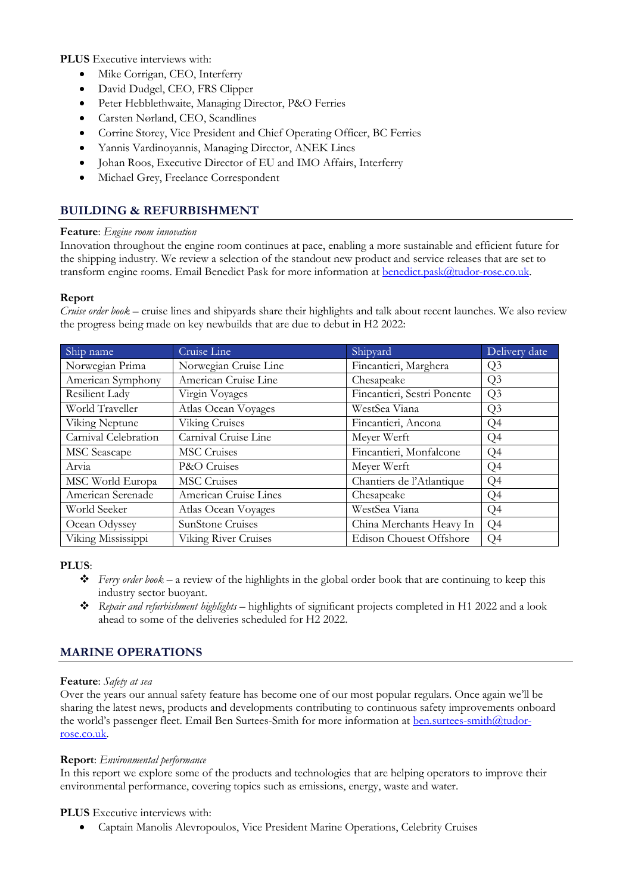**PLUS** Executive interviews with:

- Mike Corrigan, CEO, Interferry
- David Dudgel, CEO, FRS Clipper
- Peter Hebblethwaite, Managing Director, P&O Ferries
- Carsten Nørland, CEO, Scandlines
- Corrine Storey, Vice President and Chief Operating Officer, BC Ferries
- Yannis Vardinoyannis, Managing Director, ANEK Lines
- Johan Roos, Executive Director of EU and IMO Affairs, Interferry
- Michael Grey, Freelance Correspondent

# **BUILDING & REFURBISHMENT**

## **Feature**: *Engine room innovation*

Innovation throughout the engine room continues at pace, enabling a more sustainable and efficient future for the shipping industry. We review a selection of the standout new product and service releases that are set to transform engine rooms. Email Benedict Pask for more information at **[benedict.pask@tudor-rose.co.uk.](mailto:benedict.pask@tudor-rose.co.uk)** 

## **Report**

*Cruise order book* – cruise lines and shipyards share their highlights and talk about recent launches. We also review the progress being made on key newbuilds that are due to debut in H2 2022:

| Ship name            | Cruise Line                 | Shipyard                    | Delivery date  |
|----------------------|-----------------------------|-----------------------------|----------------|
| Norwegian Prima      | Norwegian Cruise Line       | Fincantieri, Marghera       | Q <sub>3</sub> |
| American Symphony    | American Cruise Line        | Chesapeake                  | Q <sub>3</sub> |
| Resilient Lady       | Virgin Voyages              | Fincantieri, Sestri Ponente | Q <sub>3</sub> |
| World Traveller      | Atlas Ocean Voyages         | WestSea Viana               | Q <sub>3</sub> |
| Viking Neptune       | Viking Cruises              | Fincantieri, Ancona         | Q <sub>4</sub> |
| Carnival Celebration | Carnival Cruise Line        | Meyer Werft                 | Q <sub>4</sub> |
| <b>MSC</b> Seascape  | <b>MSC</b> Cruises          | Fincantieri, Monfalcone     | Q <sub>4</sub> |
| Arvia                | P&O Cruises                 | Meyer Werft                 | Q <sub>4</sub> |
| MSC World Europa     | <b>MSC</b> Cruises          | Chantiers de l'Atlantique   | Q <sub>4</sub> |
| American Serenade    | American Cruise Lines       | Chesapeake                  | Q4             |
| World Seeker         | Atlas Ocean Voyages         | WestSea Viana               | Q <sub>4</sub> |
| Ocean Odyssey        | <b>SunStone Cruises</b>     | China Merchants Heavy In    | Q4             |
| Viking Mississippi   | <b>Viking River Cruises</b> | Edison Chouest Offshore     | Q <sub>4</sub> |

## **PLUS**:

- ❖ *Ferry order book* a review of the highlights in the global order book that are continuing to keep this industry sector buoyant.
- ❖ *Repair and refurbishment highlights* highlights of significant projects completed in H1 2022 and a look ahead to some of the deliveries scheduled for H2 2022.

# **MARINE OPERATIONS**

## **Feature**: *Safety at sea*

Over the years our annual safety feature has become one of our most popular regulars. Once again we'll be sharing the latest news, products and developments contributing to continuous safety improvements onboard the world's passenger fleet. Email Ben Surtees-Smith for more information at [ben.surtees-smith@tudor](mailto:ben.surtees-smith@tudor-rose.co.uk)[rose.co.uk.](mailto:ben.surtees-smith@tudor-rose.co.uk)

## **Report**: *Environmental performance*

In this report we explore some of the products and technologies that are helping operators to improve their environmental performance, covering topics such as emissions, energy, waste and water.

# **PLUS** Executive interviews with:

• Captain Manolis Alevropoulos, Vice President Marine Operations, Celebrity Cruises